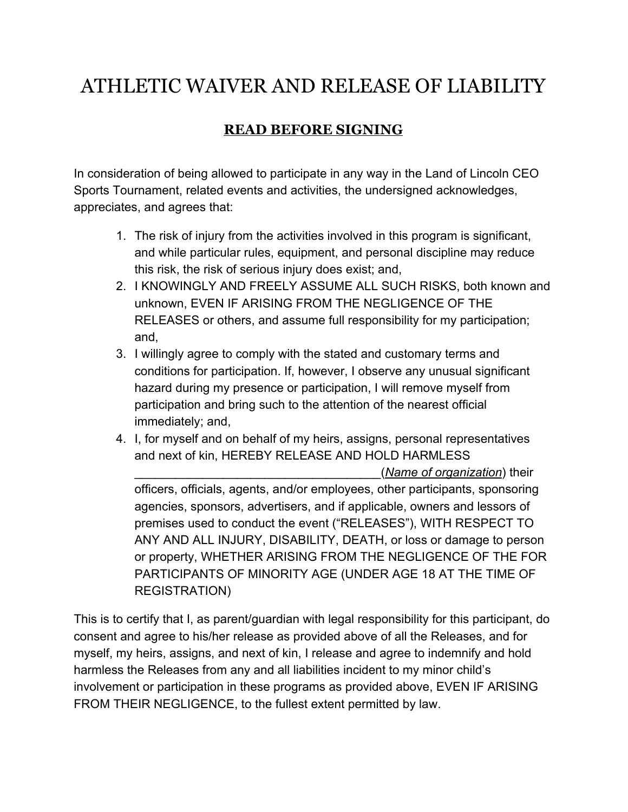## ATHLETIC WAIVER AND RELEASE OF LIABILITY

## **READ BEFORE SIGNING**

In consideration of being allowed to participate in any way in the Land of Lincoln CEO Sports Tournament, related events and activities, the undersigned acknowledges, appreciates, and agrees that:

- 1. The risk of injury from the activities involved in this program is significant, and while particular rules, equipment, and personal discipline may reduce this risk, the risk of serious injury does exist; and,
- 2. I KNOWINGLY AND FREELY ASSUME ALL SUCH RISKS, both known and unknown, EVEN IF ARISING FROM THE NEGLIGENCE OF THE RELEASES or others, and assume full responsibility for my participation; and,
- 3. I willingly agree to comply with the stated and customary terms and conditions for participation. If, however, I observe any unusual significant hazard during my presence or participation, I will remove myself from participation and bring such to the attention of the nearest official immediately; and,
- 4. I, for myself and on behalf of my heirs, assigns, personal representatives and next of kin, HEREBY RELEASE AND HOLD HARMLESS

\_\_\_\_\_\_\_\_\_\_\_\_\_\_\_\_\_\_\_\_\_\_\_\_\_\_\_\_\_\_\_\_\_\_\_\_(*Name of organization*) their officers, officials, agents, and/or employees, other participants, sponsoring agencies, sponsors, advertisers, and if applicable, owners and lessors of premises used to conduct the event ("RELEASES"), WITH RESPECT TO ANY AND ALL INJURY, DISABILITY, DEATH, or loss or damage to person or property, WHETHER ARISING FROM THE NEGLIGENCE OF THE FOR PARTICIPANTS OF MINORITY AGE (UNDER AGE 18 AT THE TIME OF REGISTRATION)

This is to certify that I, as parent/guardian with legal responsibility for this participant, do consent and agree to his/her release as provided above of all the Releases, and for myself, my heirs, assigns, and next of kin, I release and agree to indemnify and hold harmless the Releases from any and all liabilities incident to my minor child's involvement or participation in these programs as provided above, EVEN IF ARISING FROM THEIR NEGLIGENCE, to the fullest extent permitted by law.